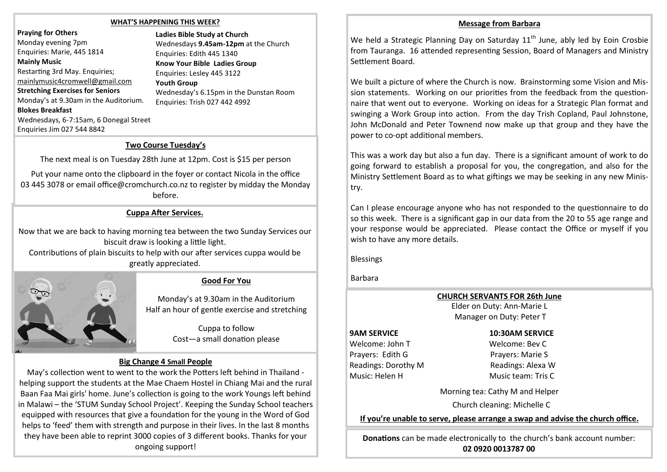#### **WHAT'S HAPPENING THIS WEEK?**

**Praying for Others**  Monday evening 7pm Enquiries: Marie, 445 1814 **Mainly Music**  Restarting 3rd May. Enquiries; [mainlymusic4cromwell@gmail.com](mailto:mmcpc20@gmail.com) **Stretching Exercises for Seniors**  Monday's at 9.30am in the Auditorium. **Blokes Breakfast**  Wednesdays, 6-7:15am, 6 Donegal Street Enquiries Jim 027 544 8842

**Ladies Bible Study at Church** Wednesdays **9.45am-12pm** at the Church Enquiries: Edith 445 1340 **Know Your Bible Ladies Group**  Enquiries: Lesley 445 3122 **Youth Group**  Wednesday's 6.15pm in the Dunstan Room Enquiries: Trish 027 442 4992

# **Two Course Tuesday's**

The next meal is on Tuesday 28th June at 12pm. Cost is \$15 per person

Put your name onto the clipboard in the foyer or contact Nicola in the office 03 445 3078 or email office@cromchurch.co.nz to register by midday the Monday before.

## **Cuppa After Services.**

Now that we are back to having morning tea between the two Sunday Services our biscuit draw is looking a little light.

Contributions of plain biscuits to help with our after services cuppa would be greatly appreciated.



Monday's at 9.30am in the Auditorium Half an hour of gentle exercise and stretching

> Cuppa to follow Cost—a small donation please

## **Big Change 4 Small People**

May's collection went to went to the work the Potters left behind in Thailand helping support the students at the Mae Chaem Hostel in Chiang Mai and the rural Baan Faa Mai girls' home. June's collection is going to the work Youngs left behind in Malawi – the 'STUM Sunday School Project'. Keeping the Sunday School teachers equipped with resources that give a foundation for the young in the Word of God helps to 'feed' them with strength and purpose in their lives. In the last 8 months they have been able to reprint 3000 copies of 3 different books. Thanks for your ongoing support!

#### **Message from Barbara**

We held a Strategic Planning Day on Saturday  $11<sup>th</sup>$  June, ably led by Eoin Crosbie from Tauranga. 16 attended representing Session, Board of Managers and Ministry Settlement Board.

We built a picture of where the Church is now. Brainstorming some Vision and Mission statements. Working on our priorities from the feedback from the questionnaire that went out to everyone. Working on ideas for a Strategic Plan format and swinging a Work Group into action. From the day Trish Copland, Paul Johnstone, John McDonald and Peter Townend now make up that group and they have the power to co-opt additional members.

This was a work day but also a fun day. There is a significant amount of work to do going forward to establish a proposal for you, the congregation, and also for the Ministry Settlement Board as to what giftings we may be seeking in any new Ministry.

Can I please encourage anyone who has not responded to the questionnaire to do so this week. There is a significant gap in our data from the 20 to 55 age range and your response would be appreciated. Please contact the Office or myself if you wish to have any more details.

Blessings

Barbara

**CHURCH SERVANTS FOR 26th June**  Elder on Duty: Ann-Marie L

Manager on Duty: Peter T

Welcome: John T Welcome: Bev C Prayers: Edith G Prayers: Marie S Readings: Dorothy M Readings: Alexa W Music: Helen H Music team: Tris C

## **9AM SERVICE 10:30AM SERVICE**

Morning tea: Cathy M and Helper

Church cleaning: Michelle C

**If you're unable to serve, please arrange a swap and advise the church office.** 

**Donations** can be made electronically to the church's bank account number: **02 0920 0013787 00**